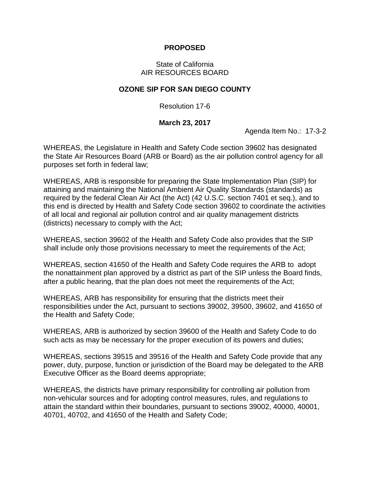## **PROPOSED**

## State of California AIR RESOURCES BOARD

## **OZONE SIP FOR SAN DIEGO COUNTY**

Resolution 17-6

## **March 23, 2017**

Agenda Item No.: 17-3-2

WHEREAS, the Legislature in Health and Safety Code section 39602 has designated the State Air Resources Board (ARB or Board) as the air pollution control agency for all purposes set forth in federal law;

WHEREAS, ARB is responsible for preparing the State Implementation Plan (SIP) for attaining and maintaining the National Ambient Air Quality Standards (standards) as required by the federal Clean Air Act (the Act) (42 U.S.C. section 7401 et seq.), and to this end is directed by Health and Safety Code section 39602 to coordinate the activities of all local and regional air pollution control and air quality management districts (districts) necessary to comply with the Act;

WHEREAS, section 39602 of the Health and Safety Code also provides that the SIP shall include only those provisions necessary to meet the requirements of the Act;

WHEREAS, section 41650 of the Health and Safety Code requires the ARB to adopt the nonattainment plan approved by a district as part of the SIP unless the Board finds, after a public hearing, that the plan does not meet the requirements of the Act;

WHEREAS, ARB has responsibility for ensuring that the districts meet their responsibilities under the Act, pursuant to sections 39002, 39500, 39602, and 41650 of the Health and Safety Code;

WHEREAS, ARB is authorized by section 39600 of the Health and Safety Code to do such acts as may be necessary for the proper execution of its powers and duties;

WHEREAS, sections 39515 and 39516 of the Health and Safety Code provide that any power, duty, purpose, function or jurisdiction of the Board may be delegated to the ARB Executive Officer as the Board deems appropriate;

WHEREAS, the districts have primary responsibility for controlling air pollution from non-vehicular sources and for adopting control measures, rules, and regulations to attain the standard within their boundaries, pursuant to sections 39002, 40000, 40001, 40701, 40702, and 41650 of the Health and Safety Code;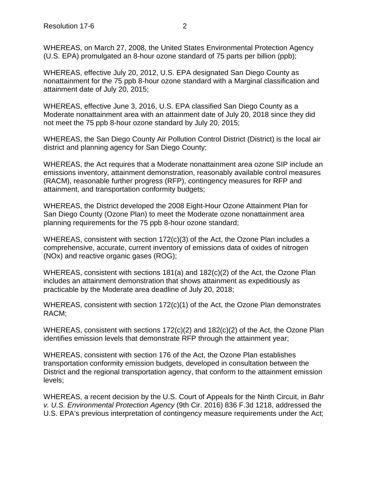WHEREAS, on March 27, 2008, the United States Environmental Protection Agency (U.S. EPA) promulgated an 8-hour ozone standard of 75 parts per billion (ppb);

WHEREAS, effective July 20, 2012, U.S. EPA designated San Diego County as nonattainment for the 75 ppb 8-hour ozone standard with a Marginal classification and attainment date of July 20, 2015;

WHEREAS, effective June 3, 2016, U.S. EPA classified San Diego County as a Moderate nonattainment area with an attainment date of July 20, 2018 since they did not meet the 75 ppb 8-hour ozone standard by July 20, 2015;

WHEREAS, the San Diego County Air Pollution Control District (District) is the local air district and planning agency for San Diego County;

WHEREAS, the Act requires that a Moderate nonattainment area ozone SIP include an emissions inventory, attainment demonstration, reasonably available control measures (RACM), reasonable further progress (RFP), contingency measures for RFP and attainment, and transportation conformity budgets;

WHEREAS, the District developed the 2008 Eight-Hour Ozone Attainment Plan for San Diego County (Ozone Plan) to meet the Moderate ozone nonattainment area planning requirements for the 75 ppb 8-hour ozone standard;

WHEREAS, consistent with section 172(c)(3) of the Act, the Ozone Plan includes a comprehensive, accurate, current inventory of emissions data of oxides of nitrogen (NOx) and reactive organic gases (ROG);

WHEREAS, consistent with sections 181(a) and 182(c)(2) of the Act, the Ozone Plan includes an attainment demonstration that shows attainment as expeditiously as practicable by the Moderate area deadline of July 20, 2018;

WHEREAS, consistent with section 172(c)(1) of the Act, the Ozone Plan demonstrates RACM;

WHEREAS, consistent with sections 172(c)(2) and 182(c)(2) of the Act, the Ozone Plan identifies emission levels that demonstrate RFP through the attainment year;

WHEREAS, consistent with section 176 of the Act, the Ozone Plan establishes transportation conformity emission budgets, developed in consultation between the District and the regional transportation agency, that conform to the attainment emission levels;

WHEREAS, a recent decision by the U.S. Court of Appeals for the Ninth Circuit, in *Bahr v. U.S. Environmental Protection Agency* (9th Cir. 2016) 836 F.3d 1218, addressed the U.S. EPA's previous interpretation of contingency measure requirements under the Act;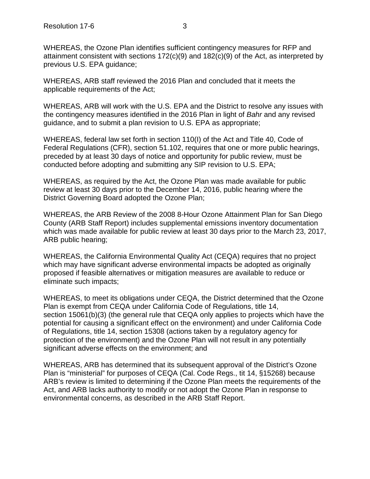WHEREAS, the Ozone Plan identifies sufficient contingency measures for RFP and attainment consistent with sections 172(c)(9) and 182(c)(9) of the Act, as interpreted by previous U.S. EPA guidance;

WHEREAS, ARB staff reviewed the 2016 Plan and concluded that it meets the applicable requirements of the Act;

WHEREAS, ARB will work with the U.S. EPA and the District to resolve any issues with the contingency measures identified in the 2016 Plan in light of *Bahr* and any revised guidance, and to submit a plan revision to U.S. EPA as appropriate;

WHEREAS, federal law set forth in section 110(I) of the Act and Title 40, Code of Federal Regulations (CFR), section 51.102, requires that one or more public hearings, preceded by at least 30 days of notice and opportunity for public review, must be conducted before adopting and submitting any SIP revision to U.S. EPA;

WHEREAS, as required by the Act, the Ozone Plan was made available for public review at least 30 days prior to the December 14, 2016, public hearing where the District Governing Board adopted the Ozone Plan;

WHEREAS, the ARB Review of the 2008 8-Hour Ozone Attainment Plan for San Diego County (ARB Staff Report) includes supplemental emissions inventory documentation which was made available for public review at least 30 days prior to the March 23, 2017, ARB public hearing;

WHEREAS, the California Environmental Quality Act (CEQA) requires that no project which may have significant adverse environmental impacts be adopted as originally proposed if feasible alternatives or mitigation measures are available to reduce or eliminate such impacts;

WHEREAS, to meet its obligations under CEQA, the District determined that the Ozone Plan is exempt from CEQA under California Code of Regulations, title 14, section 15061(b)(3) (the general rule that CEQA only applies to projects which have the potential for causing a significant effect on the environment) and under California Code of Regulations, title 14, section 15308 (actions taken by a regulatory agency for protection of the environment) and the Ozone Plan will not result in any potentially significant adverse effects on the environment; and

WHEREAS, ARB has determined that its subsequent approval of the District's Ozone Plan is "ministerial" for purposes of CEQA (Cal. Code Regs., tit 14, §15268) because ARB's review is limited to determining if the Ozone Plan meets the requirements of the Act, and ARB lacks authority to modify or not adopt the Ozone Plan in response to environmental concerns, as described in the ARB Staff Report.